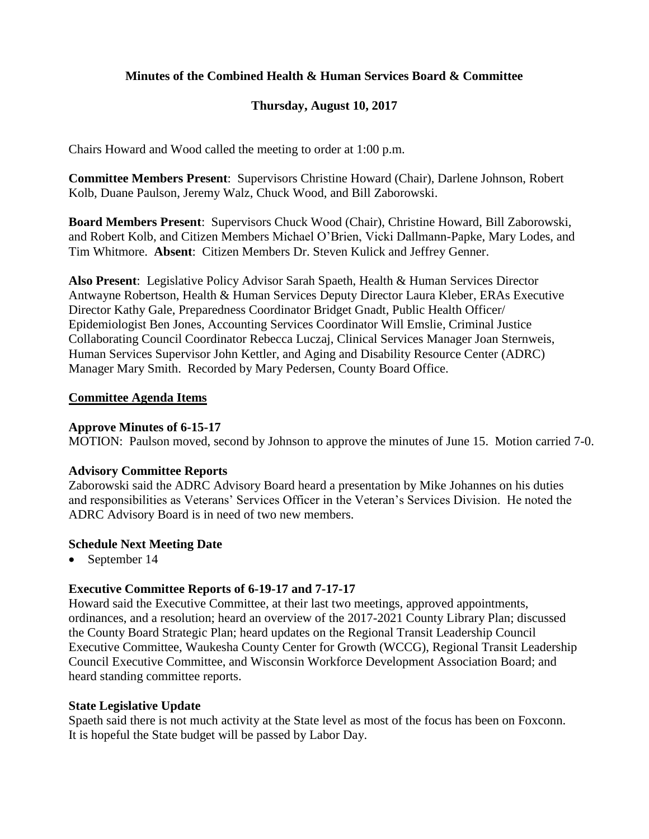# **Minutes of the Combined Health & Human Services Board & Committee**

# **Thursday, August 10, 2017**

Chairs Howard and Wood called the meeting to order at 1:00 p.m.

**Committee Members Present**: Supervisors Christine Howard (Chair), Darlene Johnson, Robert Kolb, Duane Paulson, Jeremy Walz, Chuck Wood, and Bill Zaborowski.

**Board Members Present**: Supervisors Chuck Wood (Chair), Christine Howard, Bill Zaborowski, and Robert Kolb, and Citizen Members Michael O'Brien, Vicki Dallmann-Papke, Mary Lodes, and Tim Whitmore. **Absent**: Citizen Members Dr. Steven Kulick and Jeffrey Genner.

**Also Present**: Legislative Policy Advisor Sarah Spaeth, Health & Human Services Director Antwayne Robertson, Health & Human Services Deputy Director Laura Kleber, ERAs Executive Director Kathy Gale, Preparedness Coordinator Bridget Gnadt, Public Health Officer/ Epidemiologist Ben Jones, Accounting Services Coordinator Will Emslie, Criminal Justice Collaborating Council Coordinator Rebecca Luczaj, Clinical Services Manager Joan Sternweis, Human Services Supervisor John Kettler, and Aging and Disability Resource Center (ADRC) Manager Mary Smith. Recorded by Mary Pedersen, County Board Office.

## **Committee Agenda Items**

## **Approve Minutes of 6-15-17**

MOTION: Paulson moved, second by Johnson to approve the minutes of June 15. Motion carried 7-0.

## **Advisory Committee Reports**

Zaborowski said the ADRC Advisory Board heard a presentation by Mike Johannes on his duties and responsibilities as Veterans' Services Officer in the Veteran's Services Division. He noted the ADRC Advisory Board is in need of two new members.

## **Schedule Next Meeting Date**

• September 14

# **Executive Committee Reports of 6-19-17 and 7-17-17**

Howard said the Executive Committee, at their last two meetings, approved appointments, ordinances, and a resolution; heard an overview of the 2017-2021 County Library Plan; discussed the County Board Strategic Plan; heard updates on the Regional Transit Leadership Council Executive Committee, Waukesha County Center for Growth (WCCG), Regional Transit Leadership Council Executive Committee, and Wisconsin Workforce Development Association Board; and heard standing committee reports.

# **State Legislative Update**

Spaeth said there is not much activity at the State level as most of the focus has been on Foxconn. It is hopeful the State budget will be passed by Labor Day.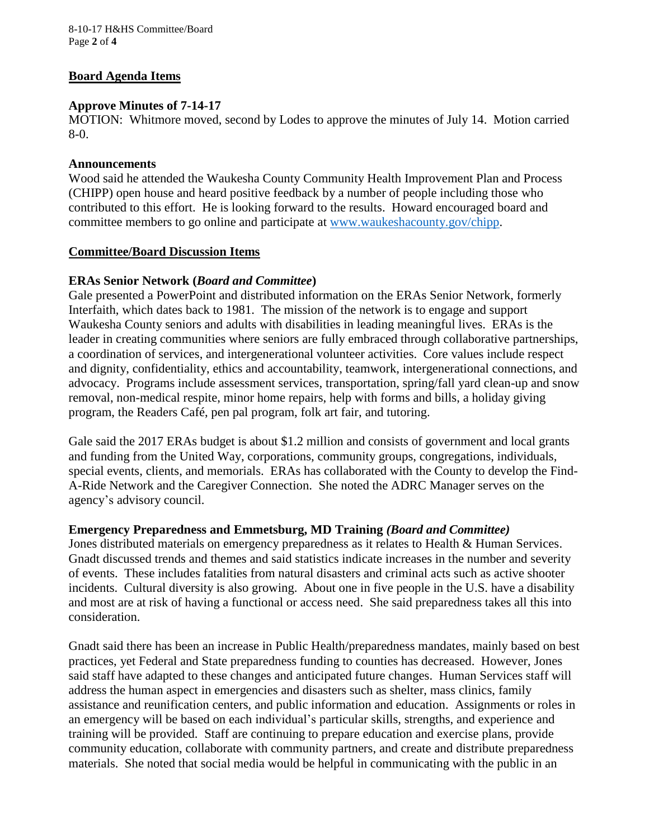8-10-17 H&HS Committee/Board Page **2** of **4**

## **Board Agenda Items**

## **Approve Minutes of 7-14-17**

MOTION: Whitmore moved, second by Lodes to approve the minutes of July 14. Motion carried 8-0.

## **Announcements**

Wood said he attended the Waukesha County Community Health Improvement Plan and Process (CHIPP) open house and heard positive feedback by a number of people including those who contributed to this effort. He is looking forward to the results. Howard encouraged board and committee members to go online and participate at [www.waukeshacounty.gov/chipp.](http://www.waukeshacounty.gov/chipp)

## **Committee/Board Discussion Items**

## **ERAs Senior Network (***Board and Committee***)**

Gale presented a PowerPoint and distributed information on the ERAs Senior Network, formerly Interfaith, which dates back to 1981. The mission of the network is to engage and support Waukesha County seniors and adults with disabilities in leading meaningful lives. ERAs is the leader in creating communities where seniors are fully embraced through collaborative partnerships, a coordination of services, and intergenerational volunteer activities. Core values include respect and dignity, confidentiality, ethics and accountability, teamwork, intergenerational connections, and advocacy. Programs include assessment services, transportation, spring/fall yard clean-up and snow removal, non-medical respite, minor home repairs, help with forms and bills, a holiday giving program, the Readers Café, pen pal program, folk art fair, and tutoring.

Gale said the 2017 ERAs budget is about \$1.2 million and consists of government and local grants and funding from the United Way, corporations, community groups, congregations, individuals, special events, clients, and memorials. ERAs has collaborated with the County to develop the Find-A-Ride Network and the Caregiver Connection. She noted the ADRC Manager serves on the agency's advisory council.

## **Emergency Preparedness and Emmetsburg, MD Training** *(Board and Committee)*

Jones distributed materials on emergency preparedness as it relates to Health & Human Services. Gnadt discussed trends and themes and said statistics indicate increases in the number and severity of events. These includes fatalities from natural disasters and criminal acts such as active shooter incidents. Cultural diversity is also growing. About one in five people in the U.S. have a disability and most are at risk of having a functional or access need. She said preparedness takes all this into consideration.

Gnadt said there has been an increase in Public Health/preparedness mandates, mainly based on best practices, yet Federal and State preparedness funding to counties has decreased. However, Jones said staff have adapted to these changes and anticipated future changes. Human Services staff will address the human aspect in emergencies and disasters such as shelter, mass clinics, family assistance and reunification centers, and public information and education. Assignments or roles in an emergency will be based on each individual's particular skills, strengths, and experience and training will be provided. Staff are continuing to prepare education and exercise plans, provide community education, collaborate with community partners, and create and distribute preparedness materials. She noted that social media would be helpful in communicating with the public in an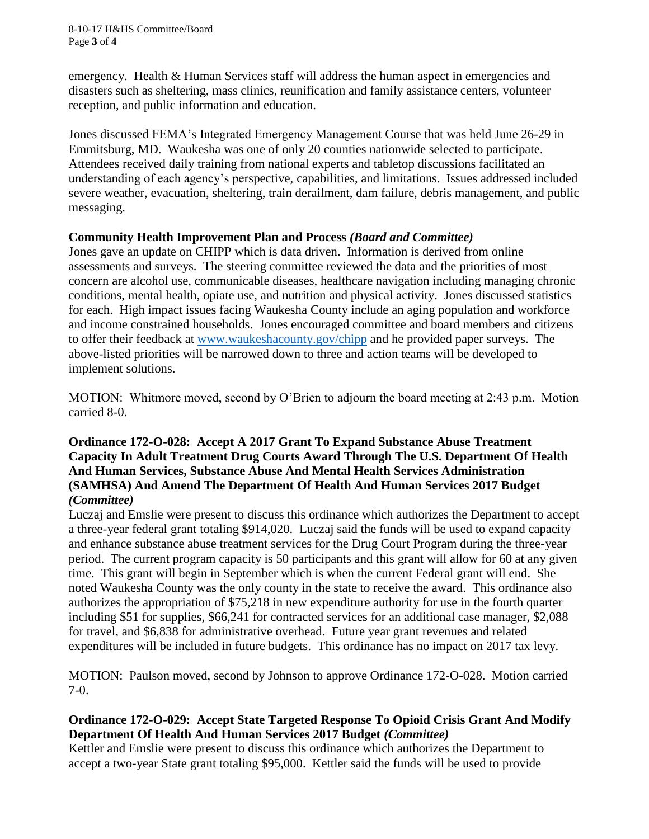8-10-17 H&HS Committee/Board Page **3** of **4**

emergency. Health & Human Services staff will address the human aspect in emergencies and disasters such as sheltering, mass clinics, reunification and family assistance centers, volunteer reception, and public information and education.

Jones discussed FEMA's Integrated Emergency Management Course that was held June 26-29 in Emmitsburg, MD. Waukesha was one of only 20 counties nationwide selected to participate. Attendees received daily training from national experts and tabletop discussions facilitated an understanding of each agency's perspective, capabilities, and limitations. Issues addressed included severe weather, evacuation, sheltering, train derailment, dam failure, debris management, and public messaging.

## **Community Health Improvement Plan and Process** *(Board and Committee)*

Jones gave an update on CHIPP which is data driven. Information is derived from online assessments and surveys. The steering committee reviewed the data and the priorities of most concern are alcohol use, communicable diseases, healthcare navigation including managing chronic conditions, mental health, opiate use, and nutrition and physical activity. Jones discussed statistics for each. High impact issues facing Waukesha County include an aging population and workforce and income constrained households. Jones encouraged committee and board members and citizens to offer their feedback at [www.waukeshacounty.gov/chipp](http://www.waukeshacounty.gov/chipp) and he provided paper surveys. The above-listed priorities will be narrowed down to three and action teams will be developed to implement solutions.

MOTION: Whitmore moved, second by O'Brien to adjourn the board meeting at 2:43 p.m. Motion carried 8-0.

## **Ordinance 172-O-028: Accept A 2017 Grant To Expand Substance Abuse Treatment Capacity In Adult Treatment Drug Courts Award Through The U.S. Department Of Health And Human Services, Substance Abuse And Mental Health Services Administration (SAMHSA) And Amend The Department Of Health And Human Services 2017 Budget**  *(Committee)*

Luczaj and Emslie were present to discuss this ordinance which authorizes the Department to accept a three-year federal grant totaling \$914,020. Luczaj said the funds will be used to expand capacity and enhance substance abuse treatment services for the Drug Court Program during the three-year period. The current program capacity is 50 participants and this grant will allow for 60 at any given time. This grant will begin in September which is when the current Federal grant will end. She noted Waukesha County was the only county in the state to receive the award. This ordinance also authorizes the appropriation of \$75,218 in new expenditure authority for use in the fourth quarter including \$51 for supplies, \$66,241 for contracted services for an additional case manager, \$2,088 for travel, and \$6,838 for administrative overhead. Future year grant revenues and related expenditures will be included in future budgets. This ordinance has no impact on 2017 tax levy.

MOTION: Paulson moved, second by Johnson to approve Ordinance 172-O-028. Motion carried 7-0.

# **Ordinance 172-O-029: Accept State Targeted Response To Opioid Crisis Grant And Modify Department Of Health And Human Services 2017 Budget** *(Committee)*

Kettler and Emslie were present to discuss this ordinance which authorizes the Department to accept a two-year State grant totaling \$95,000. Kettler said the funds will be used to provide